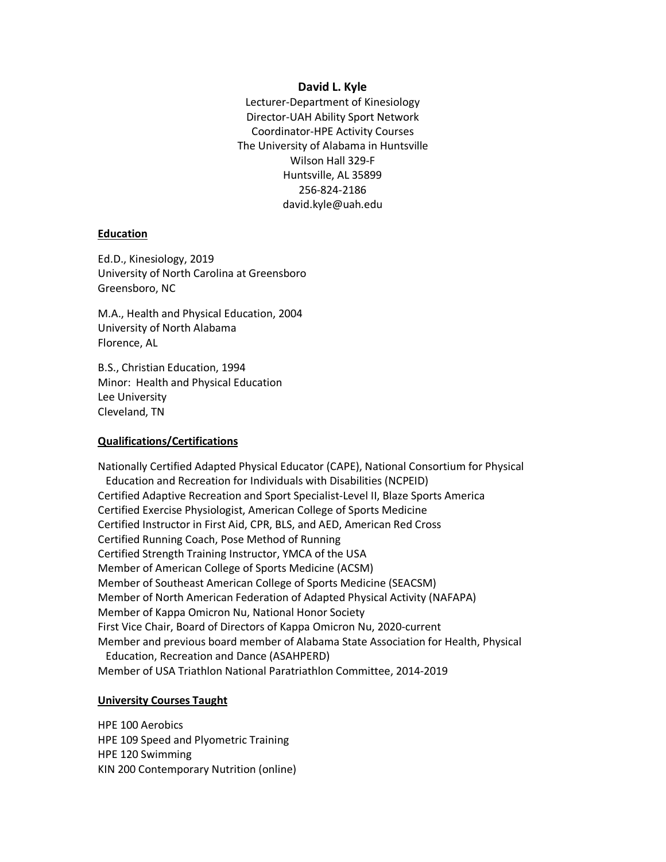#### **David L. Kyle**

Lecturer-Department of Kinesiology Director-UAH Ability Sport Network Coordinator-HPE Activity Courses The University of Alabama in Huntsville Wilson Hall 329-F Huntsville, AL 35899 256-824-2186 david.kyle@uah.edu

### **Education**

Ed.D., Kinesiology, 2019 University of North Carolina at Greensboro Greensboro, NC

M.A., Health and Physical Education, 2004 University of North Alabama Florence, AL

B.S., Christian Education, 1994 Minor: Health and Physical Education Lee University Cleveland, TN

### **Qualifications/Certifications**

Nationally Certified Adapted Physical Educator (CAPE), National Consortium for Physical Education and Recreation for Individuals with Disabilities (NCPEID) Certified Adaptive Recreation and Sport Specialist-Level II, Blaze Sports America Certified Exercise Physiologist, American College of Sports Medicine Certified Instructor in First Aid, CPR, BLS, and AED, American Red Cross Certified Running Coach, Pose Method of Running Certified Strength Training Instructor, YMCA of the USA Member of American College of Sports Medicine (ACSM) Member of Southeast American College of Sports Medicine (SEACSM) Member of North American Federation of Adapted Physical Activity (NAFAPA) Member of Kappa Omicron Nu, National Honor Society First Vice Chair, Board of Directors of Kappa Omicron Nu, 2020-current Member and previous board member of Alabama State Association for Health, Physical Education, Recreation and Dance (ASAHPERD) Member of USA Triathlon National Paratriathlon Committee, 2014-2019

#### **University Courses Taught**

HPE 100 Aerobics HPE 109 Speed and Plyometric Training HPE 120 Swimming KIN 200 Contemporary Nutrition (online)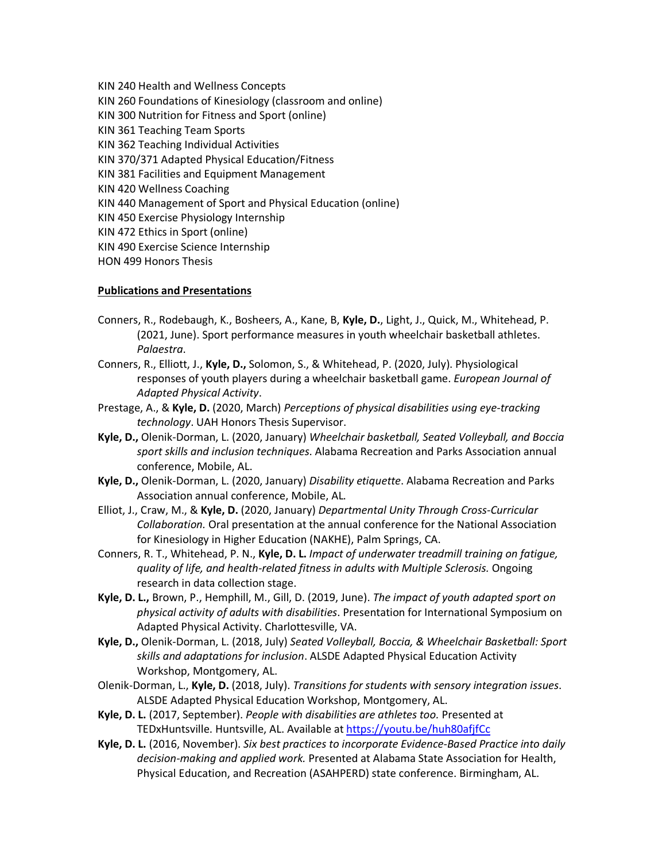KIN 240 Health and Wellness Concepts KIN 260 Foundations of Kinesiology (classroom and online) KIN 300 Nutrition for Fitness and Sport (online) KIN 361 Teaching Team Sports KIN 362 Teaching Individual Activities KIN 370/371 Adapted Physical Education/Fitness KIN 381 Facilities and Equipment Management KIN 420 Wellness Coaching KIN 440 Management of Sport and Physical Education (online) KIN 450 Exercise Physiology Internship KIN 472 Ethics in Sport (online) KIN 490 Exercise Science Internship HON 499 Honors Thesis

### **Publications and Presentations**

- Conners, R., Rodebaugh, K., Bosheers, A., Kane, B, **Kyle, D.**, Light, J., Quick, M., Whitehead, P. (2021, June). Sport performance measures in youth wheelchair basketball athletes. *Palaestra*.
- Conners, R., Elliott, J., **Kyle, D.,** Solomon, S., & Whitehead, P. (2020, July). Physiological responses of youth players during a wheelchair basketball game. *European Journal of Adapted Physical Activity*.
- Prestage, A., & **Kyle, D.** (2020, March) *Perceptions of physical disabilities using eye-tracking technology*. UAH Honors Thesis Supervisor.
- **Kyle, D.,** Olenik-Dorman, L. (2020, January) *Wheelchair basketball, Seated Volleyball, and Boccia sport skills and inclusion techniques*. Alabama Recreation and Parks Association annual conference, Mobile, AL.
- **Kyle, D.,** Olenik-Dorman, L. (2020, January) *Disability etiquette*. Alabama Recreation and Parks Association annual conference, Mobile, AL.
- Elliot, J., Craw, M., & **Kyle, D.** (2020, January) *Departmental Unity Through Cross-Curricular Collaboration.* Oral presentation at the annual conference for the National Association for Kinesiology in Higher Education (NAKHE), Palm Springs, CA.
- Conners, R. T., Whitehead, P. N., **Kyle, D. L.** *Impact of underwater treadmill training on fatigue, quality of life, and health-related fitness in adults with Multiple Sclerosis.* Ongoing research in data collection stage.
- **Kyle, D. L.,** Brown, P., Hemphill, M., Gill, D. (2019, June). *The impact of youth adapted sport on physical activity of adults with disabilities*. Presentation for International Symposium on Adapted Physical Activity. Charlottesville, VA.
- **Kyle, D.,** Olenik-Dorman, L. (2018, July) *Seated Volleyball, Boccia, & Wheelchair Basketball: Sport skills and adaptations for inclusion*. ALSDE Adapted Physical Education Activity Workshop, Montgomery, AL.
- Olenik-Dorman, L., **Kyle, D.** (2018, July). *Transitions for students with sensory integration issues*. ALSDE Adapted Physical Education Workshop, Montgomery, AL.
- **Kyle, D. L.** (2017, September). *People with disabilities are athletes too.* Presented at TEDxHuntsville. Huntsville, AL. Available at https://youtu.be/huh80afjfCc
- **Kyle, D. L.** (2016, November). *Six best practices to incorporate Evidence-Based Practice into daily decision-making and applied work.* Presented at Alabama State Association for Health, Physical Education, and Recreation (ASAHPERD) state conference. Birmingham, AL.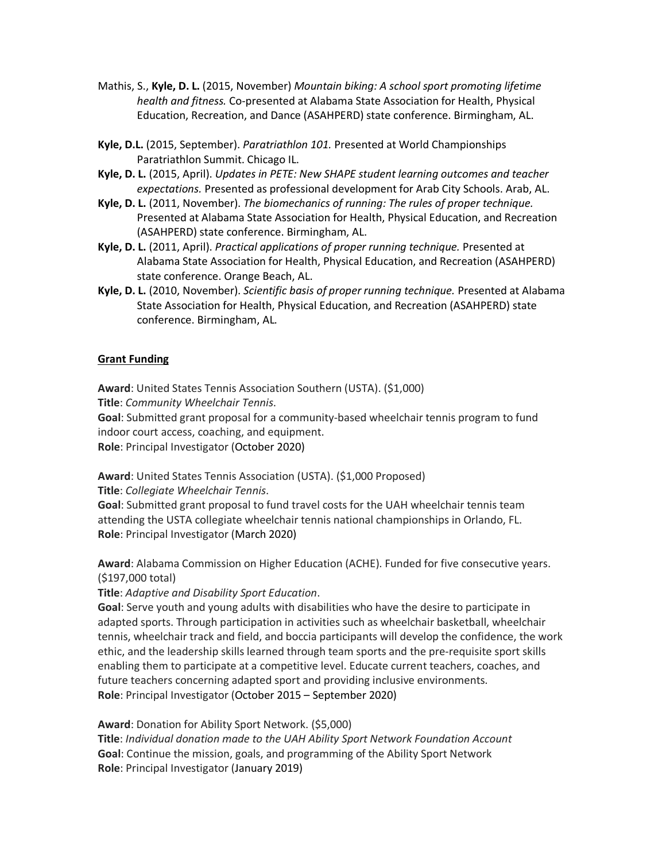- Mathis, S., **Kyle, D. L.** (2015, November) *Mountain biking: A school sport promoting lifetime health and fitness.* Co-presented at Alabama State Association for Health, Physical Education, Recreation, and Dance (ASAHPERD) state conference. Birmingham, AL.
- **Kyle, D.L.** (2015, September). *Paratriathlon 101.* Presented at World Championships Paratriathlon Summit. Chicago IL.
- **Kyle, D. L.** (2015, April). *Updates in PETE: New SHAPE student learning outcomes and teacher expectations.* Presented as professional development for Arab City Schools. Arab, AL.
- **Kyle, D. L.** (2011, November). *The biomechanics of running: The rules of proper technique.* Presented at Alabama State Association for Health, Physical Education, and Recreation (ASAHPERD) state conference. Birmingham, AL.
- **Kyle, D. L.** (2011, April). *Practical applications of proper running technique.* Presented at Alabama State Association for Health, Physical Education, and Recreation (ASAHPERD) state conference. Orange Beach, AL.
- **Kyle, D. L.** (2010, November). *Scientific basis of proper running technique.* Presented at Alabama State Association for Health, Physical Education, and Recreation (ASAHPERD) state conference. Birmingham, AL.

# **Grant Funding**

**Award**: United States Tennis Association Southern (USTA). (\$1,000) **Title**: *Community Wheelchair Tennis*. **Goal**: Submitted grant proposal for a community-based wheelchair tennis program to fund indoor court access, coaching, and equipment.

**Role**: Principal Investigator (October 2020)

**Award**: United States Tennis Association (USTA). (\$1,000 Proposed)

**Title**: *Collegiate Wheelchair Tennis*.

**Goal**: Submitted grant proposal to fund travel costs for the UAH wheelchair tennis team attending the USTA collegiate wheelchair tennis national championships in Orlando, FL. **Role**: Principal Investigator (March 2020)

**Award**: Alabama Commission on Higher Education (ACHE). Funded for five consecutive years. (\$197,000 total)

**Title**: *Adaptive and Disability Sport Education*.

**Goal**: Serve youth and young adults with disabilities who have the desire to participate in adapted sports. Through participation in activities such as wheelchair basketball, wheelchair tennis, wheelchair track and field, and boccia participants will develop the confidence, the work ethic, and the leadership skills learned through team sports and the pre-requisite sport skills enabling them to participate at a competitive level. Educate current teachers, coaches, and future teachers concerning adapted sport and providing inclusive environments. **Role**: Principal Investigator (October 2015 – September 2020)

**Award**: Donation for Ability Sport Network. (\$5,000) **Title**: *Individual donation made to the UAH Ability Sport Network Foundation Account*

**Goal**: Continue the mission, goals, and programming of the Ability Sport Network **Role**: Principal Investigator (January 2019)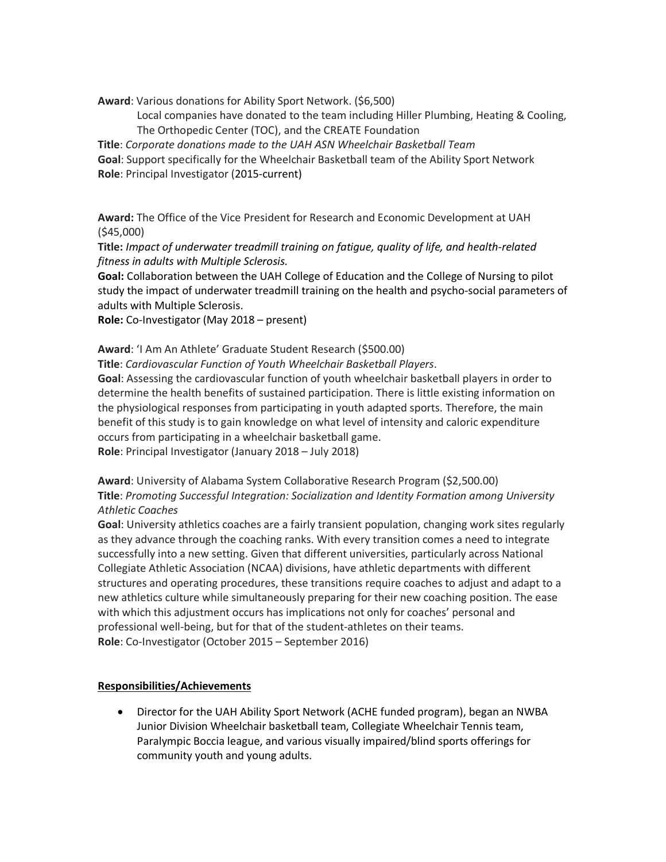**Award**: Various donations for Ability Sport Network. (\$6,500)

Local companies have donated to the team including Hiller Plumbing, Heating & Cooling, The Orthopedic Center (TOC), and the CREATE Foundation

**Title**: *Corporate donations made to the UAH ASN Wheelchair Basketball Team*

**Goal**: Support specifically for the Wheelchair Basketball team of the Ability Sport Network **Role**: Principal Investigator (2015-current)

**Award:** The Office of the Vice President for Research and Economic Development at UAH (\$45,000)

**Title:** *Impact of underwater treadmill training on fatigue, quality of life, and health-related fitness in adults with Multiple Sclerosis.* 

**Goal:** Collaboration between the UAH College of Education and the College of Nursing to pilot study the impact of underwater treadmill training on the health and psycho-social parameters of adults with Multiple Sclerosis.

**Role:** Co-Investigator (May 2018 – present)

**Award**: 'I Am An Athlete' Graduate Student Research (\$500.00)

**Title**: *Cardiovascular Function of Youth Wheelchair Basketball Players*.

**Goal**: Assessing the cardiovascular function of youth wheelchair basketball players in order to determine the health benefits of sustained participation. There is little existing information on the physiological responses from participating in youth adapted sports. Therefore, the main benefit of this study is to gain knowledge on what level of intensity and caloric expenditure occurs from participating in a wheelchair basketball game.

**Role**: Principal Investigator (January 2018 – July 2018)

# **Award**: University of Alabama System Collaborative Research Program (\$2,500.00) **Title**: *Promoting Successful Integration: Socialization and Identity Formation among University Athletic Coaches*

**Goal**: University athletics coaches are a fairly transient population, changing work sites regularly as they advance through the coaching ranks. With every transition comes a need to integrate successfully into a new setting. Given that different universities, particularly across National Collegiate Athletic Association (NCAA) divisions, have athletic departments with different structures and operating procedures, these transitions require coaches to adjust and adapt to a new athletics culture while simultaneously preparing for their new coaching position. The ease with which this adjustment occurs has implications not only for coaches' personal and professional well-being, but for that of the student-athletes on their teams. **Role**: Co-Investigator (October 2015 – September 2016)

# **Responsibilities/Achievements**

• Director for the UAH Ability Sport Network (ACHE funded program), began an NWBA Junior Division Wheelchair basketball team, Collegiate Wheelchair Tennis team, Paralympic Boccia league, and various visually impaired/blind sports offerings for community youth and young adults.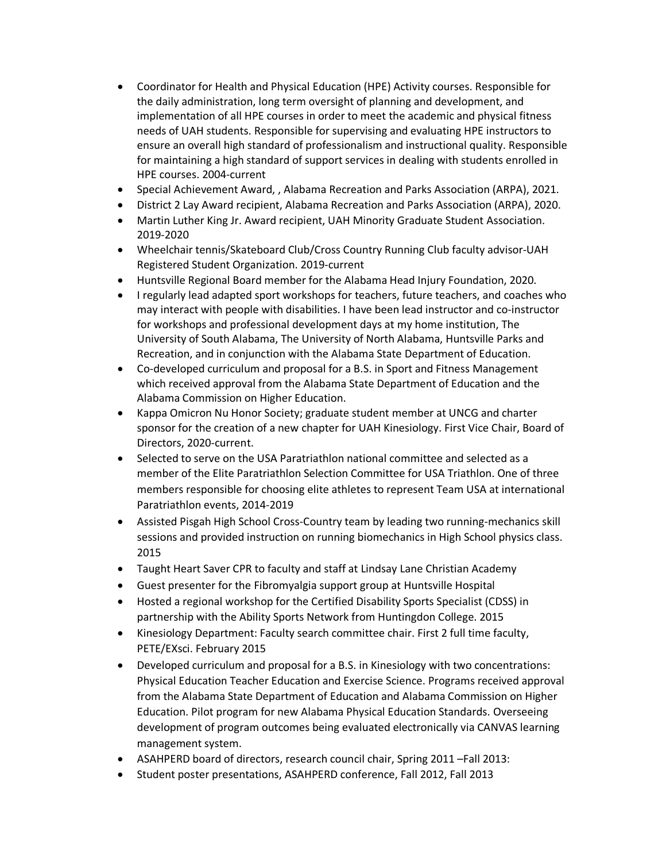- Coordinator for Health and Physical Education (HPE) Activity courses. Responsible for the daily administration, long term oversight of planning and development, and implementation of all HPE courses in order to meet the academic and physical fitness needs of UAH students. Responsible for supervising and evaluating HPE instructors to ensure an overall high standard of professionalism and instructional quality. Responsible for maintaining a high standard of support services in dealing with students enrolled in HPE courses. 2004-current
- Special Achievement Award, , Alabama Recreation and Parks Association (ARPA), 2021.
- District 2 Lay Award recipient, Alabama Recreation and Parks Association (ARPA), 2020.
- Martin Luther King Jr. Award recipient, UAH Minority Graduate Student Association. 2019-2020
- Wheelchair tennis/Skateboard Club/Cross Country Running Club faculty advisor-UAH Registered Student Organization. 2019-current
- Huntsville Regional Board member for the Alabama Head Injury Foundation, 2020.
- I regularly lead adapted sport workshops for teachers, future teachers, and coaches who may interact with people with disabilities. I have been lead instructor and co-instructor for workshops and professional development days at my home institution, The University of South Alabama, The University of North Alabama, Huntsville Parks and Recreation, and in conjunction with the Alabama State Department of Education.
- Co-developed curriculum and proposal for a B.S. in Sport and Fitness Management which received approval from the Alabama State Department of Education and the Alabama Commission on Higher Education.
- Kappa Omicron Nu Honor Society; graduate student member at UNCG and charter sponsor for the creation of a new chapter for UAH Kinesiology. First Vice Chair, Board of Directors, 2020-current.
- Selected to serve on the USA Paratriathlon national committee and selected as a member of the Elite Paratriathlon Selection Committee for USA Triathlon. One of three members responsible for choosing elite athletes to represent Team USA at international Paratriathlon events, 2014-2019
- Assisted Pisgah High School Cross-Country team by leading two running-mechanics skill sessions and provided instruction on running biomechanics in High School physics class. 2015
- Taught Heart Saver CPR to faculty and staff at Lindsay Lane Christian Academy
- Guest presenter for the Fibromyalgia support group at Huntsville Hospital
- Hosted a regional workshop for the Certified Disability Sports Specialist (CDSS) in partnership with the Ability Sports Network from Huntingdon College. 2015
- Kinesiology Department: Faculty search committee chair. First 2 full time faculty, PETE/EXsci. February 2015
- Developed curriculum and proposal for a B.S. in Kinesiology with two concentrations: Physical Education Teacher Education and Exercise Science. Programs received approval from the Alabama State Department of Education and Alabama Commission on Higher Education. Pilot program for new Alabama Physical Education Standards. Overseeing development of program outcomes being evaluated electronically via CANVAS learning management system.
- ASAHPERD board of directors, research council chair, Spring 2011 –Fall 2013:
- Student poster presentations, ASAHPERD conference, Fall 2012, Fall 2013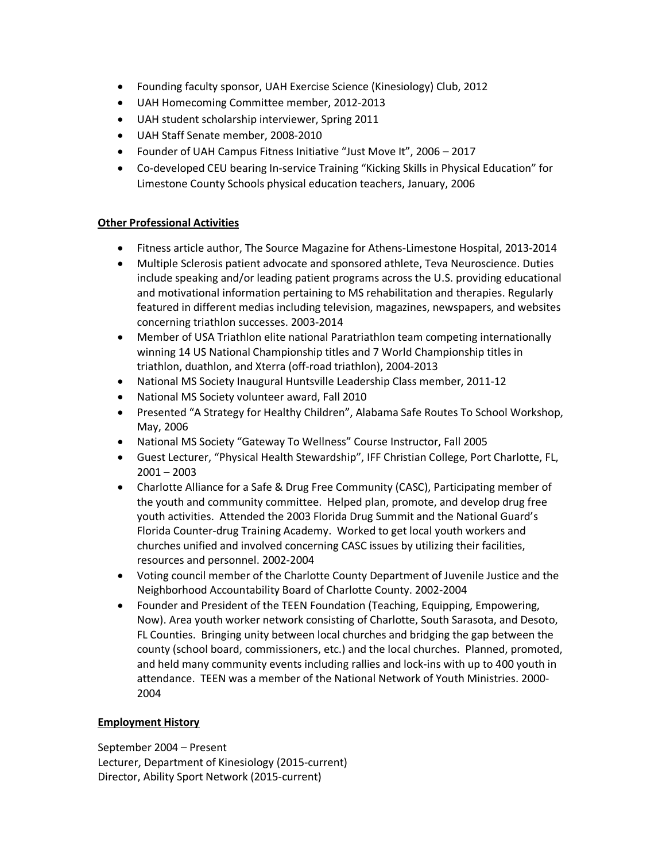- Founding faculty sponsor, UAH Exercise Science (Kinesiology) Club, 2012
- UAH Homecoming Committee member, 2012-2013
- UAH student scholarship interviewer, Spring 2011
- UAH Staff Senate member, 2008-2010
- Founder of UAH Campus Fitness Initiative "Just Move It", 2006 2017
- Co-developed CEU bearing In-service Training "Kicking Skills in Physical Education" for Limestone County Schools physical education teachers, January, 2006

# **Other Professional Activities**

- Fitness article author, The Source Magazine for Athens-Limestone Hospital, 2013-2014
- Multiple Sclerosis patient advocate and sponsored athlete, Teva Neuroscience. Duties include speaking and/or leading patient programs across the U.S. providing educational and motivational information pertaining to MS rehabilitation and therapies. Regularly featured in different medias including television, magazines, newspapers, and websites concerning triathlon successes. 2003-2014
- Member of USA Triathlon elite national Paratriathlon team competing internationally winning 14 US National Championship titles and 7 World Championship titles in triathlon, duathlon, and Xterra (off-road triathlon), 2004-2013
- National MS Society Inaugural Huntsville Leadership Class member, 2011-12
- National MS Society volunteer award, Fall 2010
- Presented "A Strategy for Healthy Children", Alabama Safe Routes To School Workshop, May, 2006
- National MS Society "Gateway To Wellness" Course Instructor, Fall 2005
- Guest Lecturer, "Physical Health Stewardship", IFF Christian College, Port Charlotte, FL,  $2001 - 2003$
- Charlotte Alliance for a Safe & Drug Free Community (CASC), Participating member of the youth and community committee. Helped plan, promote, and develop drug free youth activities. Attended the 2003 Florida Drug Summit and the National Guard's Florida Counter-drug Training Academy. Worked to get local youth workers and churches unified and involved concerning CASC issues by utilizing their facilities, resources and personnel. 2002-2004
- Voting council member of the Charlotte County Department of Juvenile Justice and the Neighborhood Accountability Board of Charlotte County. 2002-2004
- Founder and President of the TEEN Foundation (Teaching, Equipping, Empowering, Now). Area youth worker network consisting of Charlotte, South Sarasota, and Desoto, FL Counties. Bringing unity between local churches and bridging the gap between the county (school board, commissioners, etc.) and the local churches. Planned, promoted, and held many community events including rallies and lock-ins with up to 400 youth in attendance. TEEN was a member of the National Network of Youth Ministries. 2000- 2004

## **Employment History**

September 2004 – Present Lecturer, Department of Kinesiology (2015-current) Director, Ability Sport Network (2015-current)